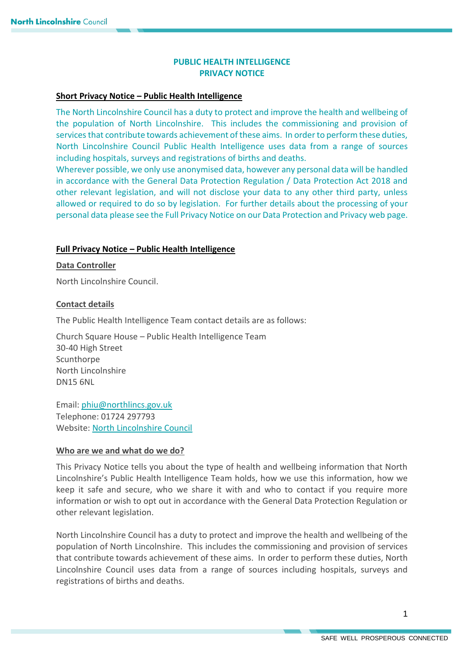# **PUBLIC HEALTH INTELLIGENCE PRIVACY NOTICE**

### **Short Privacy Notice – Public Health Intelligence**

The North Lincolnshire Council has a duty to protect and improve the health and wellbeing of the population of North Lincolnshire. This includes the commissioning and provision of services that contribute towards achievement of these aims. In order to perform these duties, North Lincolnshire Council Public Health Intelligence uses data from a range of sources ncluding hospitals, surveys and registrations of births and deaths. i

Wherever possible, we only use anonymised data, however any personal data will be handled in accordance with the General Data Protection Regulation / Data Protection Act 2018 and other relevant legislation, and will not disclose your data to any other third party, unless allowed or required to do so by legislation. For further details about the processing of your personal data please see the Full Privacy Notice on our Data Protection and Privacy web page.

#### **Full Privacy Notice – Public Health Intelligence**

#### **Data Controller**

North Lincolnshire Council.

#### **Contact details**

The Public Health Intelligence Team contact details are as follows:

Church Square House – Public Health Intelligence Team 30-40 High Street **Scunthorpe** North Lincolnshire DN15 6NL

Email: [phiu@northlincs.gov.uk](mailto:phiu@northlincs.gov.uk)  Telephone: 01724 297793 Website: [North Lincolnshire Council](https://www.northlincs.gov.uk/)

### **Who are we and what do we do?**

This Privacy Notice tells you about the type of health and wellbeing information that North Lincolnshire's Public Health Intelligence Team holds, how we use this information, how we keep it safe and secure, who we share it with and who to contact if you require more information or wish to opt out in accordance with the General Data Protection Regulation or other relevant legislation.

North Lincolnshire Council has a duty to protect and improve the health and wellbeing of the population of North Lincolnshire. This includes the commissioning and provision of services that contribute towards achievement of these aims. In order to perform these duties, North Lincolnshire Council uses data from a range of sources including hospitals, surveys and registrations of births and deaths.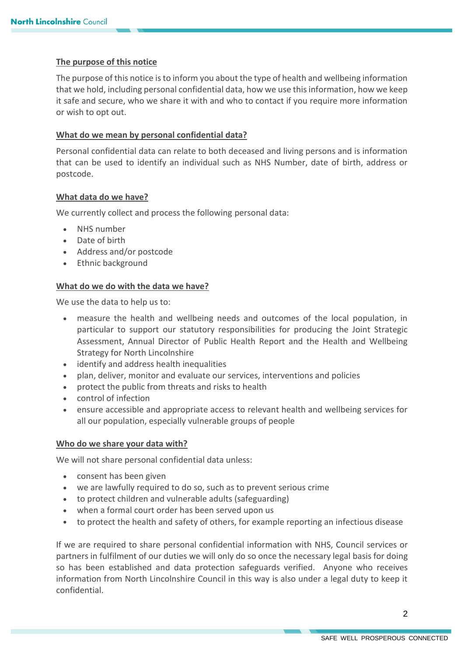### **The purpose of this notice**

The purpose of this notice is to inform you about the type of health and wellbeing information that we hold, including personal confidential data, how we use this information, how we keep it safe and secure, who we share it with and who to contact if you require more information or wish to opt out.

### **What do we mean by personal confidential data?**

Personal confidential data can relate to both deceased and living persons and is information that can be used to identify an individual such as NHS Number, date of birth, address or postcode.

### **What data do we have?**

We currently collect and process the following personal data:

- NHS number
- Date of birth
- Address and/or postcode
- Ethnic background

## **What do we do with the data we have?**

We use the data to help us to:

- measure the health and wellbeing needs and outcomes of the local population, in particular to support our statutory responsibilities for producing the Joint Strategic Assessment, Annual Director of Public Health Report and the Health and Wellbeing Strategy for North Lincolnshire
- identify and address health inequalities
- plan, deliver, monitor and evaluate our services, interventions and policies
- protect the public from threats and risks to health
- control of infection
- ensure accessible and appropriate access to relevant health and wellbeing services for all our population, especially vulnerable groups of people

### **Who do we share your data with?**

We will not share personal confidential data unless:

- consent has been given
- we are lawfully required to do so, such as to prevent serious crime
- to protect children and vulnerable adults (safeguarding)
- when a formal court order has been served upon us
- to protect the health and safety of others, for example reporting an infectious disease

If we are required to share personal confidential information with NHS, Council services or partners in fulfilment of our duties we will only do so once the necessary legal basis for doing so has been established and data protection safeguards verified. Anyone who receives information from North Lincolnshire Council in this way is also under a legal duty to keep it confidential.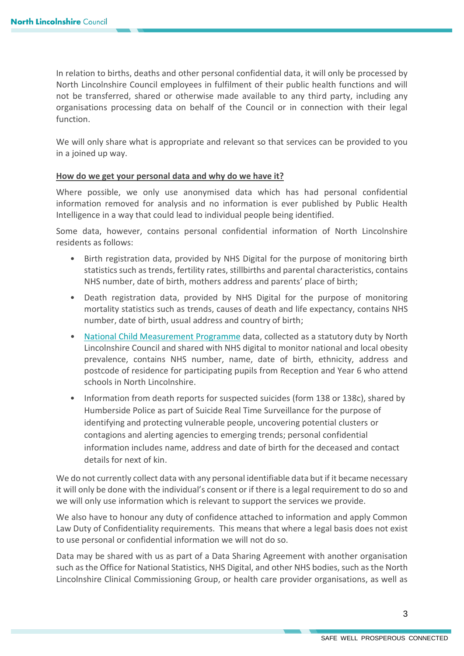In relation to births, deaths and other personal confidential data, it will only be processed by North Lincolnshire Council employees in fulfilment of their public health functions and will not be transferred, shared or otherwise made available to any third party, including any organisations processing data on behalf of the Council or in connection with their legal function.

We will only share what is appropriate and relevant so that services can be provided to you in a joined up way.

#### **How do we get your personal data and why do we have it?**

Where possible, we only use anonymised data which has had personal confidential information removed for analysis and no information is ever published by Public Health Intelligence in a way that could lead to individual people being identified.

Some data, however, contains personal confidential information of North Lincolnshire residents as follows:

- Birth registration data, provided by NHS Digital for the purpose of monitoring birth statistics such as trends, fertility rates, stillbirths and parental characteristics, contains NHS number, date of birth, mothers address and parents' place of birth;
- Death registration data, provided by NHS Digital for the purpose of monitoring mortality statistics such as trends, causes of death and life expectancy, contains NHS number, date of birth, usual address and country of birth;
- [National Child Measurement Programme](https://digital.nhs.uk/services/national-child-measurement-programme) data, collected as a statutory duty by North Lincolnshire Council and shared with NHS digital to monitor national and local obesity prevalence, contains NHS number, name, date of birth, ethnicity, address and postcode of residence for participating pupils from Reception and Year 6 who attend schools in North Lincolnshire.
- Information from death reports for suspected suicides (form 138 or 138c), shared by Humberside Police as part of Suicide Real Time Surveillance for the purpose of identifying and protecting vulnerable people, uncovering potential clusters or contagions and alerting agencies to emerging trends; personal confidential information includes name, address and date of birth for the deceased and contact details for next of kin.

We do not currently collect data with any personal identifiable data but if it became necessary it will only be done with the individual's consent or if there is a legal requirement to do so and we will only use information which is relevant to support the services we provide.

We also have to honour any duty of confidence attached to information and apply Common Law Duty of Confidentiality requirements. This means that where a legal basis does not exist to use personal or confidential information we will not do so.

Data may be shared with us as part of a Data Sharing Agreement with another organisation such as the Office for National Statistics, NHS Digital, and other NHS bodies, such as the North Lincolnshire Clinical Commissioning Group, or health care provider organisations, as well as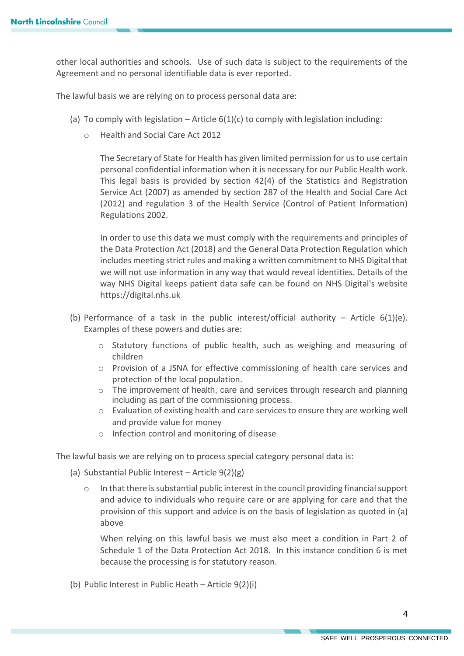other local authorities and schools. Use of such data is subject to the requirements of the Agreement and no personal identifiable data is ever reported.

The lawful basis we are relying on to process personal data are:

- (a) To comply with legislation Article  $6(1)(c)$  to comply with legislation including:
	- o Health and Social Care Act 2012

The Secretary of State for Health has given limited permission for us to use certain personal confidential information when it is necessary for our Public Health work. This legal basis is provided by section 42(4) of the Statistics and Registration Service Act (2007) as amended by section 287 of the Health and Social Care Act (2012) and regulation 3 of the Health Service (Control of Patient Information) Regulations 2002.

In order to use this data we must comply with the requirements and principles of the Data Protection Act (2018) and the General Data Protection Regulation which includes meeting strict rules and making a written commitment to NHS Digital that we will not use information in any way that would reveal identities. Details of the way NHS Digital keeps patient data safe can be found on NHS Digital's website https://digital.nhs.uk

- (b) Performance of a task in the public interest/official authority Article  $6(1)(e)$ . Examples of these powers and duties are:
	- o Statutory functions of public health, such as weighing and measuring of children
	- o Provision of a JSNA for effective commissioning of health care services and protection of the local population.
	- o The improvement of health, care and services through research and planning including as part of the commissioning process.
	- o Evaluation of existing health and care services to ensure they are working well and provide value for money
	- o Infection control and monitoring of disease

The lawful basis we are relying on to process special category personal data is:

- (a) Substantial Public Interest Article  $9(2)(g)$ 
	- o In that there is substantial public interest in the council providing financial support and advice to individuals who require care or are applying for care and that the provision of this support and advice is on the basis of legislation as quoted in (a) above

When relying on this lawful basis we must also meet a condition in Part 2 of Schedule 1 of the Data Protection Act 2018. In this instance condition 6 is met because the processing is for statutory reason.

(b) Public Interest in Public Heath – Article 9(2)(i)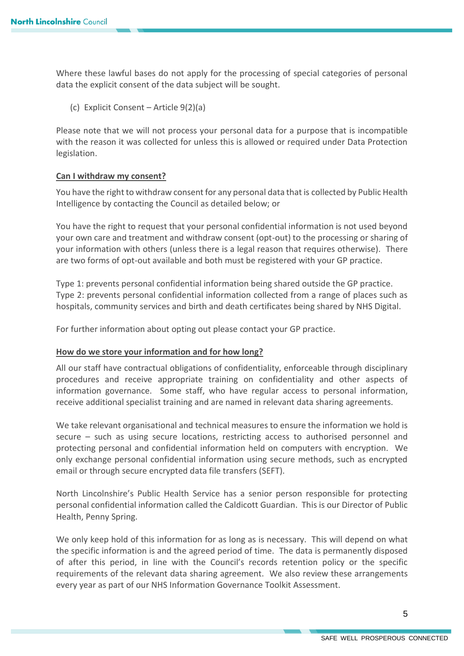Where these lawful bases do not apply for the processing of special categories of personal data the explicit consent of the data subject will be sought.

(c) Explicit Consent – Article 9(2)(a)

Please note that we will not process your personal data for a purpose that is incompatible with the reason it was collected for unless this is allowed or required under Data Protection legislation.

#### **Can I withdraw my consent?**

You have the right to withdraw consent for any personal data that is collected by Public Health Intelligence by contacting the Council as detailed below; or

You have the right to request that your personal confidential information is not used beyond your own care and treatment and withdraw consent (opt-out) to the processing or sharing of your information with others (unless there is a legal reason that requires otherwise). There are two forms of opt-out available and both must be registered with your GP practice.

Type 1: prevents personal confidential information being shared outside the GP practice. Type 2: prevents personal confidential information collected from a range of places such as hospitals, community services and birth and death certificates being shared by NHS Digital.

For further information about opting out please contact your GP practice.

#### **How do we store your information and for how long?**

All our staff have contractual obligations of confidentiality, enforceable through disciplinary procedures and receive appropriate training on confidentiality and other aspects of information governance. Some staff, who have regular access to personal information, receive additional specialist training and are named in relevant data sharing agreements.

We take relevant organisational and technical measures to ensure the information we hold is secure – such as using secure locations, restricting access to authorised personnel and protecting personal and confidential information held on computers with encryption. We only exchange personal confidential information using secure methods, such as encrypted email or through secure encrypted data file transfers (SEFT).

North Lincolnshire's Public Health Service has a senior person responsible for protecting personal confidential information called the Caldicott Guardian. This is our Director of Public Health, Penny Spring.

We only keep hold of this information for as long as is necessary. This will depend on what the specific information is and the agreed period of time. The data is permanently disposed of after this period, in line with the Council's records retention policy or the specific requirements of the relevant data sharing agreement. We also review these arrangements every year as part of our NHS Information Governance Toolkit Assessment.